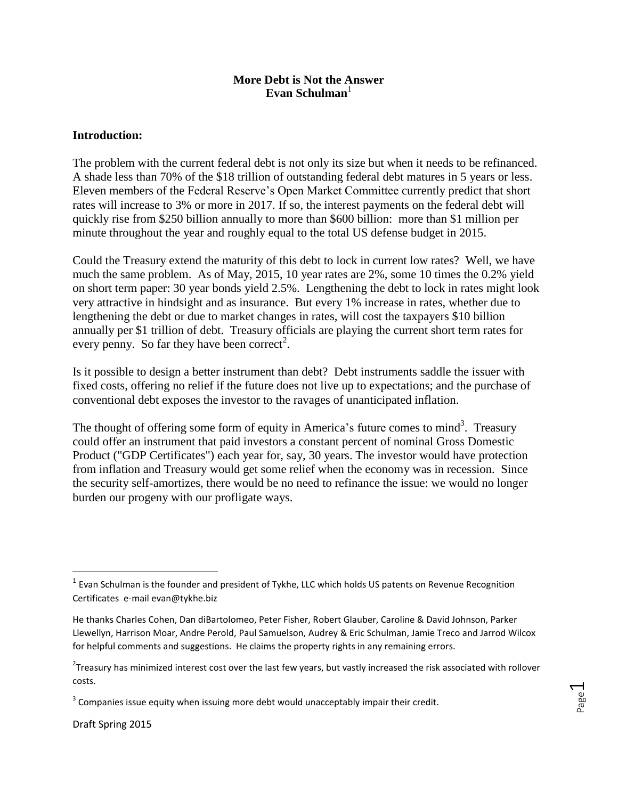### **More Debt is Not the Answer Evan Schulman**<sup>1</sup>

#### **Introduction:**

The problem with the current federal debt is not only its size but when it needs to be refinanced. A shade less than 70% of the \$18 trillion of outstanding federal debt matures in 5 years or less. Eleven members of the Federal Reserve's Open Market Committee currently predict that short rates will increase to 3% or more in 2017. If so, the interest payments on the federal debt will quickly rise from \$250 billion annually to more than \$600 billion: more than \$1 million per minute throughout the year and roughly equal to the total US defense budget in 2015.

Could the Treasury extend the maturity of this debt to lock in current low rates? Well, we have much the same problem. As of May, 2015, 10 year rates are 2%, some 10 times the 0.2% yield on short term paper: 30 year bonds yield 2.5%. Lengthening the debt to lock in rates might look very attractive in hindsight and as insurance. But every 1% increase in rates, whether due to lengthening the debt or due to market changes in rates, will cost the taxpayers \$10 billion annually per \$1 trillion of debt. Treasury officials are playing the current short term rates for every penny. So far they have been correct<sup>2</sup>.

Is it possible to design a better instrument than debt? Debt instruments saddle the issuer with fixed costs, offering no relief if the future does not live up to expectations; and the purchase of conventional debt exposes the investor to the ravages of unanticipated inflation.

The thought of offering some form of equity in America's future comes to mind<sup>3</sup>. Treasury could offer an instrument that paid investors a constant percent of nominal Gross Domestic Product ("GDP Certificates") each year for, say, 30 years. The investor would have protection from inflation and Treasury would get some relief when the economy was in recession. Since the security self-amortizes, there would be no need to refinance the issue: we would no longer burden our progeny with our profligate ways.

 $\overline{\phantom{a}}$ 

 $^1$  Evan Schulman is the founder and president of Tykhe, LLC which holds US patents on Revenue Recognition Certificates e-mail evan@tykhe.biz

He thanks Charles Cohen, Dan diBartolomeo, Peter Fisher, Robert Glauber, Caroline & David Johnson, Parker Llewellyn, Harrison Moar, Andre Perold, Paul Samuelson, Audrey & Eric Schulman, Jamie Treco and Jarrod Wilcox for helpful comments and suggestions. He claims the property rights in any remaining errors.

 $2$ Treasury has minimized interest cost over the last few years, but vastly increased the risk associated with rollover costs.

 $3$  Companies issue equity when issuing more debt would unacceptably impair their credit.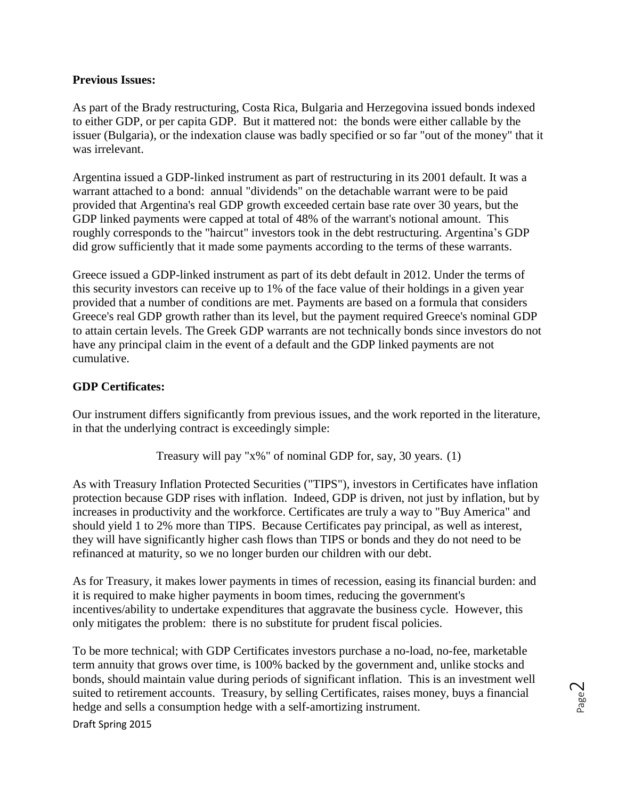#### **Previous Issues:**

As part of the Brady restructuring, Costa Rica, Bulgaria and Herzegovina issued bonds indexed to either GDP, or per capita GDP. But it mattered not: the bonds were either callable by the issuer (Bulgaria), or the indexation clause was badly specified or so far "out of the money" that it was irrelevant.

Argentina issued a GDP-linked instrument as part of restructuring in its 2001 default. It was a warrant attached to a bond: annual "dividends" on the detachable warrant were to be paid provided that Argentina's real GDP growth exceeded certain base rate over 30 years, but the GDP linked payments were capped at total of 48% of the warrant's notional amount. This roughly corresponds to the "haircut" investors took in the debt restructuring. Argentina's GDP did grow sufficiently that it made some payments according to the terms of these warrants.

Greece issued a GDP-linked instrument as part of its debt default in 2012. Under the terms of this security investors can receive up to 1% of the face value of their holdings in a given year provided that a number of conditions are met. Payments are based on a formula that considers Greece's real GDP growth rather than its level, but the payment required Greece's nominal GDP to attain certain levels. The Greek GDP warrants are not technically bonds since investors do not have any principal claim in the event of a default and the GDP linked payments are not cumulative.

### **GDP Certificates:**

Our instrument differs significantly from previous issues, and the work reported in the literature, in that the underlying contract is exceedingly simple:

```
Treasury will pay "x%" of nominal GDP for, say, 30 years. (1)
```
As with Treasury Inflation Protected Securities ("TIPS"), investors in Certificates have inflation protection because GDP rises with inflation. Indeed, GDP is driven, not just by inflation, but by increases in productivity and the workforce. Certificates are truly a way to "Buy America" and should yield 1 to 2% more than TIPS. Because Certificates pay principal, as well as interest, they will have significantly higher cash flows than TIPS or bonds and they do not need to be refinanced at maturity, so we no longer burden our children with our debt.

As for Treasury, it makes lower payments in times of recession, easing its financial burden: and it is required to make higher payments in boom times, reducing the government's incentives/ability to undertake expenditures that aggravate the business cycle. However, this only mitigates the problem: there is no substitute for prudent fiscal policies.

To be more technical; with GDP Certificates investors purchase a no-load, no-fee, marketable term annuity that grows over time, is 100% backed by the government and, unlike stocks and bonds, should maintain value during periods of significant inflation. This is an investment well suited to retirement accounts. Treasury, by selling Certificates, raises money, buys a financial hedge and sells a consumption hedge with a self-amortizing instrument.

Draft Spring 2015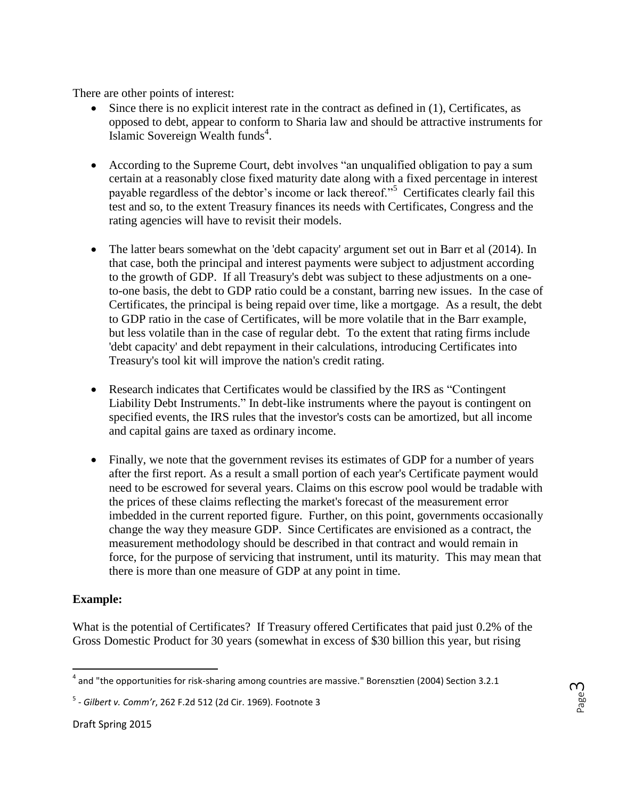There are other points of interest:

- $\bullet$  Since there is no explicit interest rate in the contract as defined in (1), Certificates, as opposed to debt, appear to conform to Sharia law and should be attractive instruments for Islamic Sovereign Wealth funds<sup>4</sup>.
- According to the Supreme Court, debt involves "an unqualified obligation to pay a sum certain at a reasonably close fixed maturity date along with a fixed percentage in interest payable regardless of the debtor's income or lack thereof."<sup>5</sup> Certificates clearly fail this test and so, to the extent Treasury finances its needs with Certificates, Congress and the rating agencies will have to revisit their models.
- The latter bears somewhat on the 'debt capacity' argument set out in Barr et al (2014). In that case, both the principal and interest payments were subject to adjustment according to the growth of GDP. If all Treasury's debt was subject to these adjustments on a oneto-one basis, the debt to GDP ratio could be a constant, barring new issues. In the case of Certificates, the principal is being repaid over time, like a mortgage. As a result, the debt to GDP ratio in the case of Certificates, will be more volatile that in the Barr example, but less volatile than in the case of regular debt. To the extent that rating firms include 'debt capacity' and debt repayment in their calculations, introducing Certificates into Treasury's tool kit will improve the nation's credit rating.
- Research indicates that Certificates would be classified by the IRS as "Contingent Liability Debt Instruments." In debt-like instruments where the payout is contingent on specified events, the IRS rules that the investor's costs can be amortized, but all income and capital gains are taxed as ordinary income.
- Finally, we note that the government revises its estimates of GDP for a number of years after the first report. As a result a small portion of each year's Certificate payment would need to be escrowed for several years. Claims on this escrow pool would be tradable with the prices of these claims reflecting the market's forecast of the measurement error imbedded in the current reported figure. Further, on this point, governments occasionally change the way they measure GDP. Since Certificates are envisioned as a contract, the measurement methodology should be described in that contract and would remain in force, for the purpose of servicing that instrument, until its maturity. This may mean that there is more than one measure of GDP at any point in time.

## **Example:**

l

What is the potential of Certificates? If Treasury offered Certificates that paid just 0.2% of the Gross Domestic Product for 30 years (somewhat in excess of \$30 billion this year, but rising

$$
\mathsf{Page}\,3
$$

<sup>&</sup>lt;sup>4</sup> and "the opportunities for risk-sharing among countries are massive." Borensztien (2004) Section 3.2.1

<sup>5</sup> *- Gilbert v. Comm'r*, 262 F.2d 512 (2d Cir. 1969). Footnote 3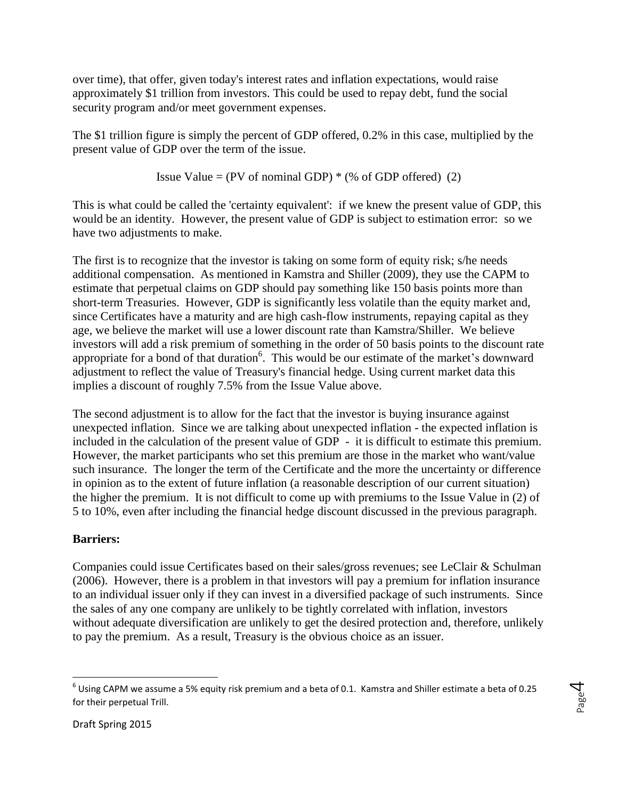over time), that offer, given today's interest rates and inflation expectations, would raise approximately \$1 trillion from investors. This could be used to repay debt, fund the social security program and/or meet government expenses.

The \$1 trillion figure is simply the percent of GDP offered, 0.2% in this case, multiplied by the present value of GDP over the term of the issue.

Issue Value = (PV of nominal GDP)  $*(\% \text{ of GDP offered})$  (2)

This is what could be called the 'certainty equivalent': if we knew the present value of GDP, this would be an identity. However, the present value of GDP is subject to estimation error: so we have two adjustments to make.

The first is to recognize that the investor is taking on some form of equity risk; s/he needs additional compensation. As mentioned in Kamstra and Shiller (2009), they use the CAPM to estimate that perpetual claims on GDP should pay something like 150 basis points more than short-term Treasuries. However, GDP is significantly less volatile than the equity market and, since Certificates have a maturity and are high cash-flow instruments, repaying capital as they age, we believe the market will use a lower discount rate than Kamstra/Shiller. We believe investors will add a risk premium of something in the order of 50 basis points to the discount rate appropriate for a bond of that duration<sup>6</sup>. This would be our estimate of the market's downward adjustment to reflect the value of Treasury's financial hedge. Using current market data this implies a discount of roughly 7.5% from the Issue Value above.

The second adjustment is to allow for the fact that the investor is buying insurance against unexpected inflation. Since we are talking about unexpected inflation - the expected inflation is included in the calculation of the present value of GDP - it is difficult to estimate this premium. However, the market participants who set this premium are those in the market who want/value such insurance. The longer the term of the Certificate and the more the uncertainty or difference in opinion as to the extent of future inflation (a reasonable description of our current situation) the higher the premium. It is not difficult to come up with premiums to the Issue Value in (2) of 5 to 10%, even after including the financial hedge discount discussed in the previous paragraph.

# **Barriers:**

 $\overline{\phantom{a}}$ 

Companies could issue Certificates based on their sales/gross revenues; see LeClair & Schulman (2006). However, there is a problem in that investors will pay a premium for inflation insurance to an individual issuer only if they can invest in a diversified package of such instruments. Since the sales of any one company are unlikely to be tightly correlated with inflation, investors without adequate diversification are unlikely to get the desired protection and, therefore, unlikely to pay the premium. As a result, Treasury is the obvious choice as an issuer.

 $^6$  Using CAPM we assume a 5% equity risk premium and a beta of 0.1. Kamstra and Shiller estimate a beta of 0.25 for their perpetual Trill.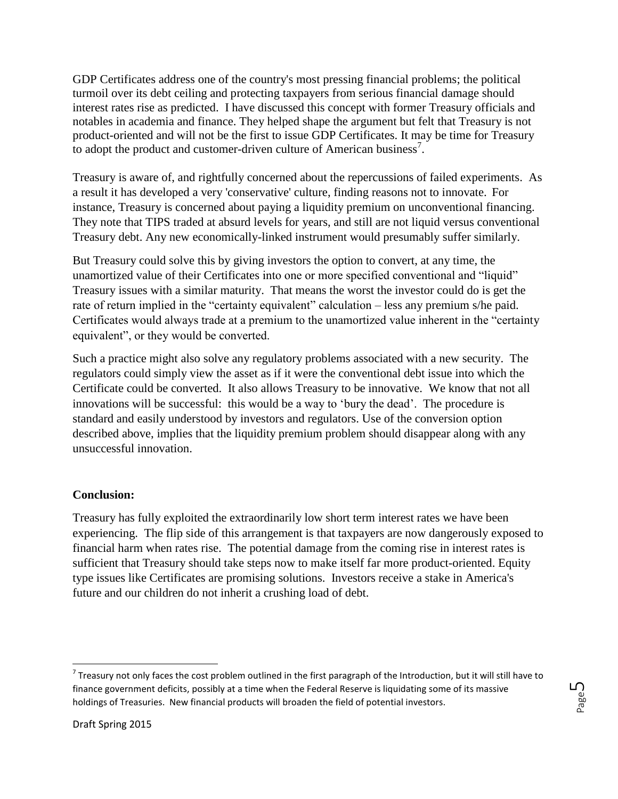GDP Certificates address one of the country's most pressing financial problems; the political turmoil over its debt ceiling and protecting taxpayers from serious financial damage should interest rates rise as predicted. I have discussed this concept with former Treasury officials and notables in academia and finance. They helped shape the argument but felt that Treasury is not product-oriented and will not be the first to issue GDP Certificates. It may be time for Treasury to adopt the product and customer-driven culture of American business<sup>7</sup>.

Treasury is aware of, and rightfully concerned about the repercussions of failed experiments. As a result it has developed a very 'conservative' culture, finding reasons not to innovate. For instance, Treasury is concerned about paying a liquidity premium on unconventional financing. They note that TIPS traded at absurd levels for years, and still are not liquid versus conventional Treasury debt. Any new economically-linked instrument would presumably suffer similarly.

But Treasury could solve this by giving investors the option to convert, at any time, the unamortized value of their Certificates into one or more specified conventional and "liquid" Treasury issues with a similar maturity. That means the worst the investor could do is get the rate of return implied in the "certainty equivalent" calculation – less any premium s/he paid. Certificates would always trade at a premium to the unamortized value inherent in the "certainty equivalent", or they would be converted.

Such a practice might also solve any regulatory problems associated with a new security. The regulators could simply view the asset as if it were the conventional debt issue into which the Certificate could be converted. It also allows Treasury to be innovative. We know that not all innovations will be successful: this would be a way to 'bury the dead'. The procedure is standard and easily understood by investors and regulators. Use of the conversion option described above, implies that the liquidity premium problem should disappear along with any unsuccessful innovation.

## **Conclusion:**

 $\overline{\phantom{a}}$ 

Treasury has fully exploited the extraordinarily low short term interest rates we have been experiencing. The flip side of this arrangement is that taxpayers are now dangerously exposed to financial harm when rates rise. The potential damage from the coming rise in interest rates is sufficient that Treasury should take steps now to make itself far more product-oriented. Equity type issues like Certificates are promising solutions. Investors receive a stake in America's future and our children do not inherit a crushing load of debt.

 $^7$  Treasury not only faces the cost problem outlined in the first paragraph of the Introduction, but it will still have to finance government deficits, possibly at a time when the Federal Reserve is liquidating some of its massive holdings of Treasuries. New financial products will broaden the field of potential investors.